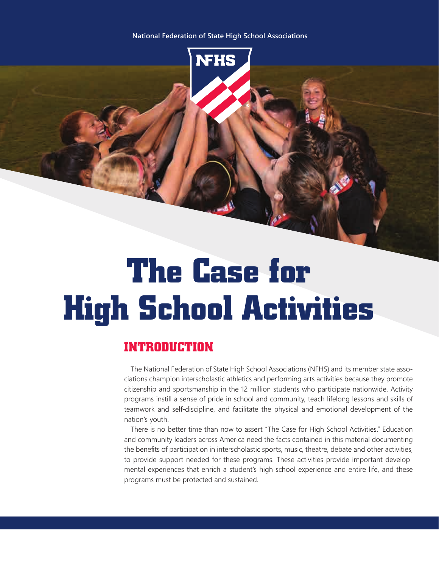#### **National Federation of State High School Associations**



# **The Case for High School Activities**

# **INTRODUCTION**

The National Federation of State High School Associations (NFHS) and its member state associations champion interscholastic athletics and performing arts activities because they promote citizenship and sportsmanship in the 12 million students who participate nationwide. Activity programs instill a sense of pride in school and community, teach lifelong lessons and skills of teamwork and self-discipline, and facilitate the physical and emotional development of the nation's youth.

There is no better time than now to assert "The Case for High School Activities." Education and community leaders across America need the facts contained in this material documenting the benefits of participation in interscholastic sports, music, theatre, debate and other activities, to provide support needed for these programs. These activities provide important developmental experiences that enrich a student's high school experience and entire life, and these programs must be protected and sustained.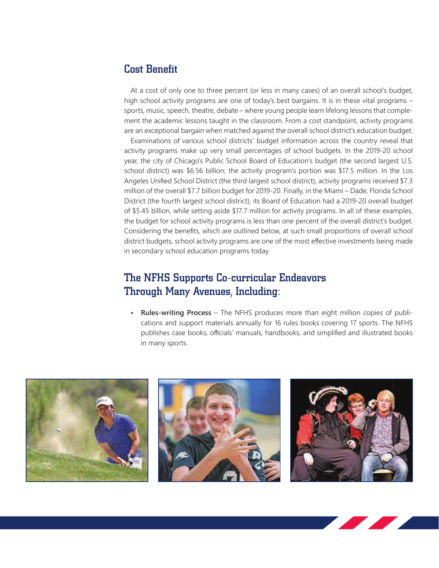# Cost Benefit

At a cost of only one to three percent (or less in many cases) of an overall school's budget, high school activity programs are one of today's best bargains. It is in these vital programs – sports, music, speech, theatre, debate – where young people learn lifelong lessons that complement the academic lessons taught in the classroom. From a cost standpoint, activity programs are an exceptional bargain when matched against the overall school district's education budget.

Examinations of various school districts' budget information across the country reveal that activity programs make up very small percentages of school budgets. In the 2019-20 school year, the city of Chicago's Public School Board of Education's budget (the second largest U.S. school district) was \$6.56 billion; the activity program's portion was \$17.5 million. In the Los Angeles Unified School District (the third largest school district), activity programs received \$7.3 million of the overall \$7.7 billion budget for 2019-20. Finally, in the Miami – Dade, Florida School District (the fourth largest school district), its Board of Education had a 2019-20 overall budget of \$5.45 billion, while setting aside \$17.7 million for activity programs. In all of these examples, the budget for school activity programs is less than one percent of the overall district's budget. Considering the benefits, which are outlined below, at such small proportions of overall school district budgets, school activity programs are one of the most effective investments being made in secondary school education programs today.

# The NFHS Supports Co-curricular Endeavors Through Many Avenues, Including:

**• Rules-writing Process** – The NFHS produces more than eight million copies of publications and support materials annually for 16 rules books covering 17 sports. The NFHS publishes case books, officials' manuals, handbooks, and simplified and illustrated books in many sports.

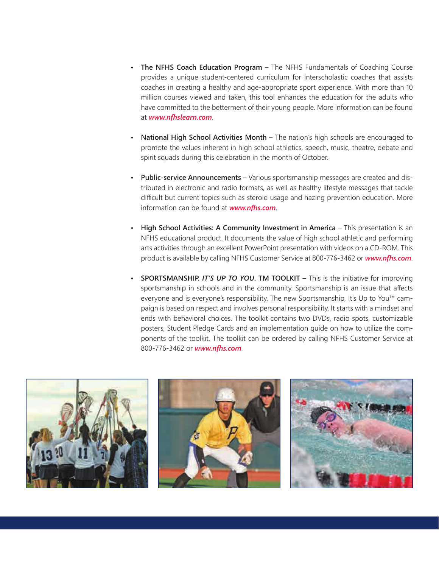- **The NFHS Coach Education Program** The NFHS Fundamentals of Coaching Course provides a unique student-centered curriculum for interscholastic coaches that assists coaches in creating a healthy and age-appropriate sport experience. With more than 10 million courses viewed and taken, this tool enhances the education for the adults who have committed to the betterment of their young people. More information can be found at *www.nfhslearn.com*.
- **National High School Activities Month** The nation's high schools are encouraged to promote the values inherent in high school athletics, speech, music, theatre, debate and spirit squads during this celebration in the month of October.
- **Public-service Announcements** Various sportsmanship messages are created and distributed in electronic and radio formats, as well as healthy lifestyle messages that tackle difficult but current topics such as steroid usage and hazing prevention education. More information can be found at *www.nfhs.com*.
- **High School Activities: A Community Investment in America** This presentation is an NFHS educational product. It documents the value of high school athletic and performing arts activities through an excellent PowerPoint presentation with videos on a CD-ROM. This product is available by calling NFHS Customer Service at 800-776-3462 or *www.nfhs.com*.
- **SPORTSMANSHIP.** *IT'S UP TO YOU***. TM TOOLKIT** This is the initiative for improving sportsmanship in schools and in the community. Sportsmanship is an issue that affects everyone and is everyone's responsibility. The new Sportsmanship, It's Up to You™ campaign is based on respect and involves personal responsibility. It starts with a mindset and ends with behavioral choices. The toolkit contains two DVDs, radio spots, customizable posters, Student Pledge Cards and an implementation guide on how to utilize the components of the toolkit. The toolkit can be ordered by calling NFHS Customer Service at 800-776-3462 or *www.nfhs.com*.

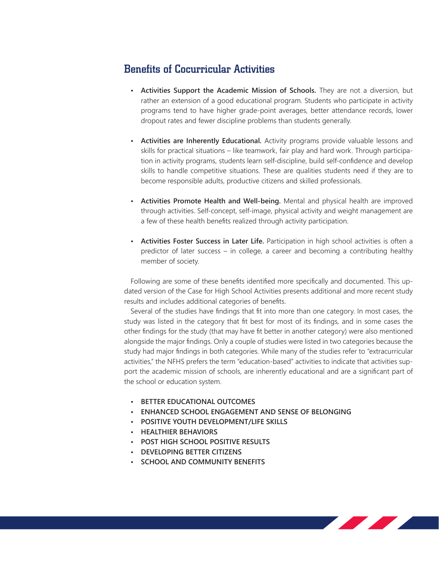# Benefits of Cocurricular Activities

- **Activities Support the Academic Mission of Schools.** They are not a diversion, but rather an extension of a good educational program. Students who participate in activity programs tend to have higher grade-point averages, better attendance records, lower dropout rates and fewer discipline problems than students generally.
- **Activities are Inherently Educational.** Activity programs provide valuable lessons and skills for practical situations – like teamwork, fair play and hard work. Through participation in activity programs, students learn self-discipline, build self-confidence and develop skills to handle competitive situations. These are qualities students need if they are to become responsible adults, productive citizens and skilled professionals.
- **Activities Promote Health and Well-being.** Mental and physical health are improved through activities. Self-concept, self-image, physical activity and weight management are a few of these health benefits realized through activity participation.
- **Activities Foster Success in Later Life.** Participation in high school activities is often a predictor of later success – in college, a career and becoming a contributing healthy member of society.

Following are some of these benefits identified more specifically and documented. This updated version of the Case for High School Activities presents additional and more recent study results and includes additional categories of benefits.

Several of the studies have findings that fit into more than one category. In most cases, the study was listed in the category that fit best for most of its findings, and in some cases the other findings for the study (that may have fit better in another category) were also mentioned alongside the major findings. Only a couple of studies were listed in two categories because the study had major findings in both categories. While many of the studies refer to "extracurricular activities," the NFHS prefers the term "education-based" activities to indicate that activities support the academic mission of schools, are inherently educational and are a significant part of the school or education system.

- **• BETTER EDUCATIONAL OUTCOMES**
- **• ENHANCED SCHOOL ENGAGEMENT AND SENSE OF BELONGING**
- **• POSITIVE YOUTH DEVELOPMENT/LIFE SKILLS**
- **• HEALTHIER BEHAVIORS**
- **• POST HIGH SCHOOL POSITIVE RESULTS**
- **• DEVELOPING BETTER CITIZENS**
- **• SCHOOL AND COMMUNITY BENEFITS**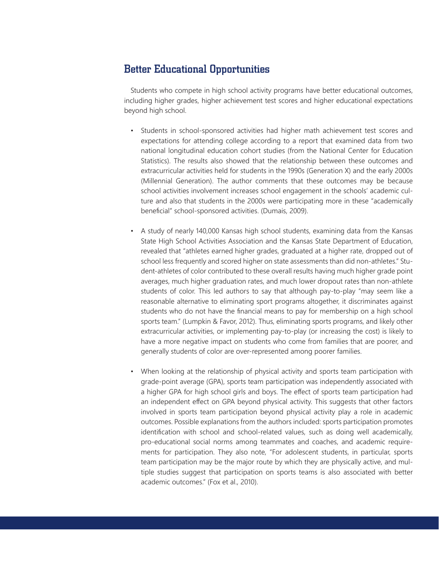### Better Educational Opportunities

Students who compete in high school activity programs have better educational outcomes, including higher grades, higher achievement test scores and higher educational expectations beyond high school.

- Students in school-sponsored activities had higher math achievement test scores and expectations for attending college according to a report that examined data from two national longitudinal education cohort studies (from the National Center for Education Statistics). The results also showed that the relationship between these outcomes and extracurricular activities held for students in the 1990s (Generation X) and the early 2000s (Millennial Generation). The author comments that these outcomes may be because school activities involvement increases school engagement in the schools' academic culture and also that students in the 2000s were participating more in these "academically beneficial" school-sponsored activities. (Dumais, 2009).
- A study of nearly 140,000 Kansas high school students, examining data from the Kansas State High School Activities Association and the Kansas State Department of Education, revealed that "athletes earned higher grades, graduated at a higher rate, dropped out of school less frequently and scored higher on state assessments than did non-athletes." Student-athletes of color contributed to these overall results having much higher grade point averages, much higher graduation rates, and much lower dropout rates than non-athlete students of color. This led authors to say that although pay-to-play "may seem like a reasonable alternative to eliminating sport programs altogether, it discriminates against students who do not have the financial means to pay for membership on a high school sports team." (Lumpkin & Favor, 2012). Thus, eliminating sports programs, and likely other extracurricular activities, or implementing pay-to-play (or increasing the cost) is likely to have a more negative impact on students who come from families that are poorer, and generally students of color are over-represented among poorer families.
	- When looking at the relationship of physical activity and sports team participation with grade-point average (GPA), sports team participation was independently associated with a higher GPA for high school girls and boys. The effect of sports team participation had an independent effect on GPA beyond physical activity. This suggests that other factors involved in sports team participation beyond physical activity play a role in academic outcomes. Possible explanations from the authors included: sports participation promotes identification with school and school-related values, such as doing well academically, pro-educational social norms among teammates and coaches, and academic requirements for participation. They also note, "For adolescent students, in particular, sports team participation may be the major route by which they are physically active, and multiple studies suggest that participation on sports teams is also associated with better academic outcomes." (Fox et al., 2010).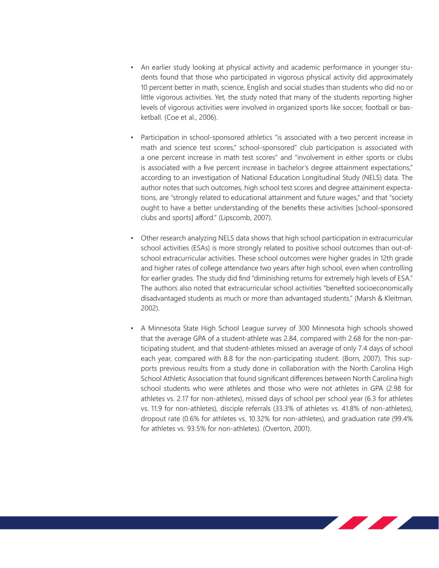- An earlier study looking at physical activity and academic performance in younger students found that those who participated in vigorous physical activity did approximately 10 percent better in math, science, English and social studies than students who did no or little vigorous activities. Yet, the study noted that many of the students reporting higher levels of vigorous activities were involved in organized sports like soccer, football or basketball. (Coe et al., 2006).
- Participation in school-sponsored athletics "is associated with a two percent increase in math and science test scores," school-sponsored" club participation is associated with a one percent increase in math test scores" and "involvement in either sports or clubs is associated with a five percent increase in bachelor's degree attainment expectations," according to an investigation of National Education Longitudinal Study (NELS) data. The author notes that such outcomes, high school test scores and degree attainment expectations, are "strongly related to educational attainment and future wages," and that "society ought to have a better understanding of the benefits these activities [school-sponsored clubs and sports] afford." (Lipscomb, 2007).
- Other research analyzing NELS data shows that high school participation in extracurricular school activities (ESAs) is more strongly related to positive school outcomes than out-ofschool extracurricular activities. These school outcomes were higher grades in 12th grade and higher rates of college attendance two years after high school, even when controlling for earlier grades. The study did find "diminishing returns for extremely high levels of ESA." The authors also noted that extracurricular school activities "benefited socioeconomically disadvantaged students as much or more than advantaged students." (Marsh & Kleitman, 2002).
- A Minnesota State High School League survey of 300 Minnesota high schools showed that the average GPA of a student-athlete was 2.84, compared with 2.68 for the non-participating student, and that student-athletes missed an average of only 7.4 days of school each year, compared with 8.8 for the non-participating student. (Born, 2007). This supports previous results from a study done in collaboration with the North Carolina High School Athletic Association that found significant differences between North Carolina high school students who were athletes and those who were not athletes in GPA (2.98 for athletes vs. 2.17 for non-athletes), missed days of school per school year (6.3 for athletes vs. 11.9 for non-athletes), disciple referrals (33.3% of athletes vs. 41.8% of non-athletes), dropout rate (0.6% for athletes vs. 10.32% for non-athletes), and graduation rate (99.4% for athletes vs. 93.5% for non-athletes). (Overton, 2001).

<u> De la Barca</u>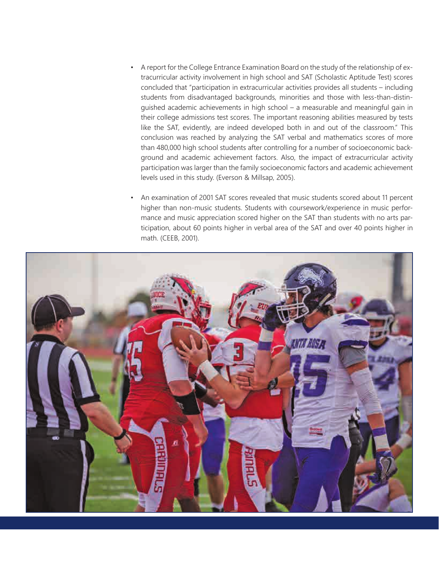- A report for the College Entrance Examination Board on the study of the relationship of extracurricular activity involvement in high school and SAT (Scholastic Aptitude Test) scores concluded that "participation in extracurricular activities provides all students – including students from disadvantaged backgrounds, minorities and those with less-than-distinguished academic achievements in high school – a measurable and meaningful gain in their college admissions test scores. The important reasoning abilities measured by tests like the SAT, evidently, are indeed developed both in and out of the classroom." This conclusion was reached by analyzing the SAT verbal and mathematics scores of more than 480,000 high school students after controlling for a number of socioeconomic background and academic achievement factors. Also, the impact of extracurricular activity participation was larger than the family socioeconomic factors and academic achievement levels used in this study. (Everson & Millsap, 2005).
- An examination of 2001 SAT scores revealed that music students scored about 11 percent higher than non-music students. Students with coursework/experience in music performance and music appreciation scored higher on the SAT than students with no arts participation, about 60 points higher in verbal area of the SAT and over 40 points higher in math. (CEEB, 2001).

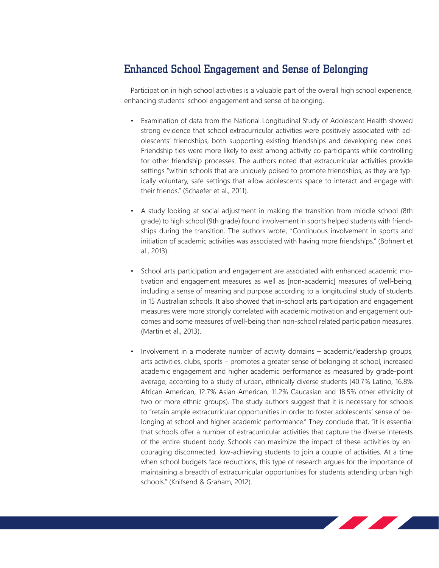# Enhanced School Engagement and Sense of Belonging

Participation in high school activities is a valuable part of the overall high school experience, enhancing students' school engagement and sense of belonging.

- Examination of data from the National Longitudinal Study of Adolescent Health showed strong evidence that school extracurricular activities were positively associated with adolescents' friendships, both supporting existing friendships and developing new ones. Friendship ties were more likely to exist among activity co-participants while controlling for other friendship processes. The authors noted that extracurricular activities provide settings "within schools that are uniquely poised to promote friendships, as they are typically voluntary, safe settings that allow adolescents space to interact and engage with their friends." (Schaefer et al., 2011).
- A study looking at social adjustment in making the transition from middle school (8th grade) to high school (9th grade) found involvement in sports helped students with friendships during the transition. The authors wrote, "Continuous involvement in sports and initiation of academic activities was associated with having more friendships." (Bohnert et al., 2013).
- School arts participation and engagement are associated with enhanced academic motivation and engagement measures as well as [non-academic] measures of well-being, including a sense of meaning and purpose according to a longitudinal study of students in 15 Australian schools. It also showed that in-school arts participation and engagement measures were more strongly correlated with academic motivation and engagement outcomes and some measures of well-being than non-school related participation measures. (Martin et al., 2013).
- Involvement in a moderate number of activity domains academic/leadership groups, arts activities, clubs, sports – promotes a greater sense of belonging at school, increased academic engagement and higher academic performance as measured by grade-point average, according to a study of urban, ethnically diverse students (40.7% Latino, 16.8% African-American, 12.7% Asian-American, 11.2% Caucasian and 18.5% other ethnicity of two or more ethnic groups). The study authors suggest that it is necessary for schools to "retain ample extracurricular opportunities in order to foster adolescents' sense of belonging at school and higher academic performance." They conclude that, "it is essential that schools offer a number of extracurricular activities that capture the diverse interests of the entire student body. Schools can maximize the impact of these activities by encouraging disconnected, low-achieving students to join a couple of activities. At a time when school budgets face reductions, this type of research argues for the importance of maintaining a breadth of extracurricular opportunities for students attending urban high schools." (Knifsend & Graham, 2012).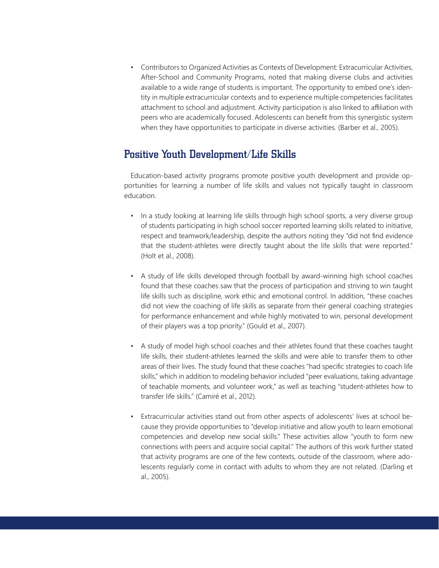• Contributors to Organized Activities as Contexts of Development: Extracurricular Activities, After-School and Community Programs, noted that making diverse clubs and activities available to a wide range of students is important. The opportunity to embed one's identity in multiple extracurricular contexts and to experience multiple competencies facilitates attachment to school and adjustment. Activity participation is also linked to affiliation with peers who are academically focused. Adolescents can benefit from this synergistic system when they have opportunities to participate in diverse activities. (Barber et al., 2005).

# Positive Youth Development/Life Skills

Education-based activity programs promote positive youth development and provide opportunities for learning a number of life skills and values not typically taught in classroom education.

- In a study looking at learning life skills through high school sports, a very diverse group of students participating in high school soccer reported learning skills related to initiative, respect and teamwork/leadership, despite the authors noting they "did not find evidence that the student-athletes were directly taught about the life skills that were reported." (Holt et al., 2008).
- A study of life skills developed through football by award-winning high school coaches found that these coaches saw that the process of participation and striving to win taught life skills such as discipline, work ethic and emotional control. In addition, "these coaches did not view the coaching of life skills as separate from their general coaching strategies for performance enhancement and while highly motivated to win, personal development of their players was a top priority." (Gould et al., 2007).
- A study of model high school coaches and their athletes found that these coaches taught life skills, their student-athletes learned the skills and were able to transfer them to other areas of their lives. The study found that these coaches "had specific strategies to coach life skills," which in addition to modeling behavior included "peer evaluations, taking advantage of teachable moments, and volunteer work," as well as teaching "student-athletes how to transfer life skills." (Camiré et al., 2012).
- Extracurricular activities stand out from other aspects of adolescents' lives at school because they provide opportunities to "develop initiative and allow youth to learn emotional competencies and develop new social skills." These activities allow "youth to form new connections with peers and acquire social capital." The authors of this work further stated that activity programs are one of the few contexts, outside of the classroom, where adolescents regularly come in contact with adults to whom they are not related. (Darling et al., 2005).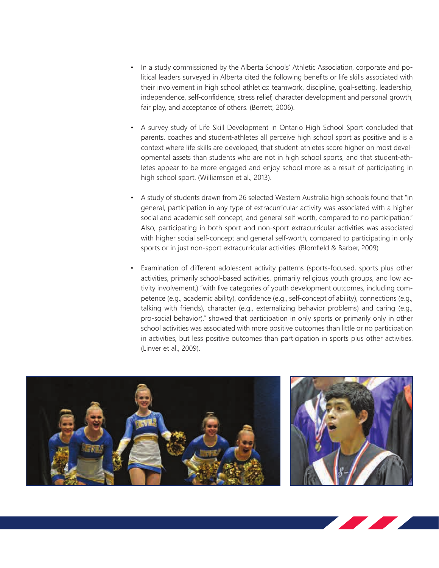- In a study commissioned by the Alberta Schools' Athletic Association, corporate and political leaders surveyed in Alberta cited the following benefits or life skills associated with their involvement in high school athletics: teamwork, discipline, goal-setting, leadership, independence, self-confidence, stress relief, character development and personal growth, fair play, and acceptance of others. (Berrett, 2006).
- A survey study of Life Skill Development in Ontario High School Sport concluded that parents, coaches and student-athletes all perceive high school sport as positive and is a context where life skills are developed, that student-athletes score higher on most developmental assets than students who are not in high school sports, and that student-athletes appear to be more engaged and enjoy school more as a result of participating in high school sport. (Williamson et al., 2013).
- A study of students drawn from 26 selected Western Australia high schools found that "in general, participation in any type of extracurricular activity was associated with a higher social and academic self-concept, and general self-worth, compared to no participation." Also, participating in both sport and non-sport extracurricular activities was associated with higher social self-concept and general self-worth, compared to participating in only sports or in just non-sport extracurricular activities. (Blomfield & Barber, 2009)
- Examination of different adolescent activity patterns (sports-focused, sports plus other activities, primarily school-based activities, primarily religious youth groups, and low activity involvement,) "with five categories of youth development outcomes, including competence (e.g., academic ability), confidence (e.g., self-concept of ability), connections (e.g., talking with friends), character (e.g., externalizing behavior problems) and caring (e.g., pro-social behavior)," showed that participation in only sports or primarily only in other school activities was associated with more positive outcomes than little or no participation in activities, but less positive outcomes than participation in sports plus other activities. (Linver et al., 2009).

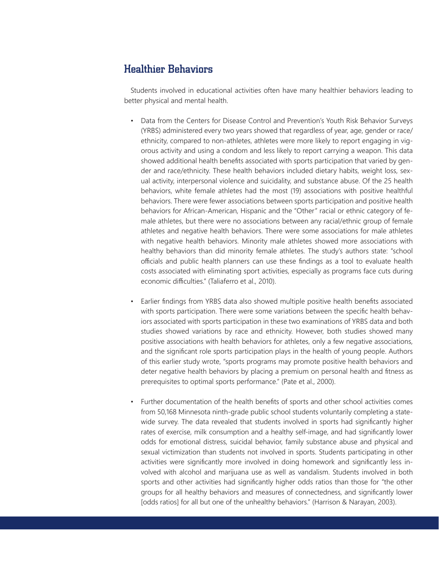# Healthier Behaviors

Students involved in educational activities often have many healthier behaviors leading to better physical and mental health.

- Data from the Centers for Disease Control and Prevention's Youth Risk Behavior Surveys (YRBS) administered every two years showed that regardless of year, age, gender or race/ ethnicity, compared to non-athletes, athletes were more likely to report engaging in vigorous activity and using a condom and less likely to report carrying a weapon. This data showed additional health benefits associated with sports participation that varied by gender and race/ethnicity. These health behaviors included dietary habits, weight loss, sexual activity, interpersonal violence and suicidality, and substance abuse. Of the 25 health behaviors, white female athletes had the most (19) associations with positive healthful behaviors. There were fewer associations between sports participation and positive health behaviors for African-American, Hispanic and the "Other" racial or ethnic category of female athletes, but there were no associations between any racial/ethnic group of female athletes and negative health behaviors. There were some associations for male athletes with negative health behaviors. Minority male athletes showed more associations with healthy behaviors than did minority female athletes. The study's authors state: "school officials and public health planners can use these findings as a tool to evaluate health costs associated with eliminating sport activities, especially as programs face cuts during economic difficulties." (Taliaferro et al., 2010).
- Earlier findings from YRBS data also showed multiple positive health benefits associated with sports participation. There were some variations between the specific health behaviors associated with sports participation in these two examinations of YRBS data and both studies showed variations by race and ethnicity. However, both studies showed many positive associations with health behaviors for athletes, only a few negative associations, and the significant role sports participation plays in the health of young people. Authors of this earlier study wrote, "sports programs may promote positive health behaviors and deter negative health behaviors by placing a premium on personal health and fitness as prerequisites to optimal sports performance." (Pate et al., 2000).
- Further documentation of the health benefits of sports and other school activities comes from 50,168 Minnesota ninth-grade public school students voluntarily completing a statewide survey. The data revealed that students involved in sports had significantly higher rates of exercise, milk consumption and a healthy self-image, and had significantly lower odds for emotional distress, suicidal behavior, family substance abuse and physical and sexual victimization than students not involved in sports. Students participating in other activities were significantly more involved in doing homework and significantly less involved with alcohol and marijuana use as well as vandalism. Students involved in both sports and other activities had significantly higher odds ratios than those for "the other groups for all healthy behaviors and measures of connectedness, and significantly lower [odds ratios] for all but one of the unhealthy behaviors." (Harrison & Narayan, 2003).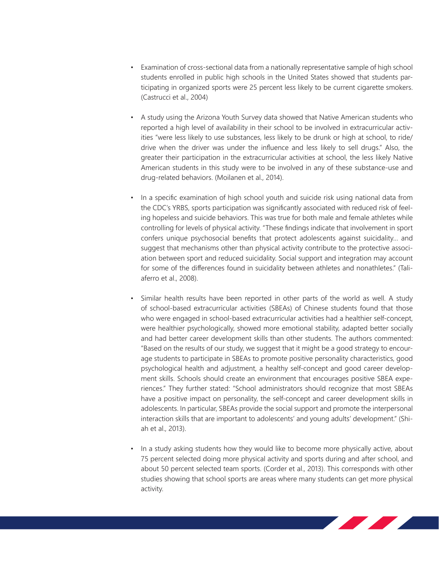- Examination of cross-sectional data from a nationally representative sample of high school students enrolled in public high schools in the United States showed that students participating in organized sports were 25 percent less likely to be current cigarette smokers. (Castrucci et al., 2004)
- A study using the Arizona Youth Survey data showed that Native American students who reported a high level of availability in their school to be involved in extracurricular activities "were less likely to use substances, less likely to be drunk or high at school, to ride/ drive when the driver was under the influence and less likely to sell drugs." Also, the greater their participation in the extracurricular activities at school, the less likely Native American students in this study were to be involved in any of these substance-use and drug-related behaviors. (Moilanen et al., 2014).
- In a specific examination of high school youth and suicide risk using national data from the CDC's YRBS, sports participation was significantly associated with reduced risk of feeling hopeless and suicide behaviors. This was true for both male and female athletes while controlling for levels of physical activity. "These findings indicate that involvement in sport confers unique psychosocial benefits that protect adolescents against suicidality… and suggest that mechanisms other than physical activity contribute to the protective association between sport and reduced suicidality. Social support and integration may account for some of the differences found in suicidality between athletes and nonathletes." (Taliaferro et al., 2008).
- Similar health results have been reported in other parts of the world as well. A study of school-based extracurricular activities (SBEAs) of Chinese students found that those who were engaged in school-based extracurricular activities had a healthier self-concept, were healthier psychologically, showed more emotional stability, adapted better socially and had better career development skills than other students. The authors commented: "Based on the results of our study, we suggest that it might be a good strategy to encourage students to participate in SBEAs to promote positive personality characteristics, good psychological health and adjustment, a healthy self-concept and good career development skills. Schools should create an environment that encourages positive SBEA experiences." They further stated: "School administrators should recognize that most SBEAs have a positive impact on personality, the self-concept and career development skills in adolescents. In particular, SBEAs provide the social support and promote the interpersonal interaction skills that are important to adolescents' and young adults' development." (Shiah et al., 2013).
- In a study asking students how they would like to become more physically active, about 75 percent selected doing more physical activity and sports during and after school, and about 50 percent selected team sports. (Corder et al., 2013). This corresponds with other studies showing that school sports are areas where many students can get more physical activity.

<u> Alban Santa Carl Santa Carl Santa Carl Santa Carl Santa Carl Santa Carl Santa Carl Santa Carl Santa Carl Santa Carl Santa Carl Santa Carl Santa Carl Santa Carl Santa Carl Santa Carl Santa Carl Santa Carl Santa Carl Santa</u>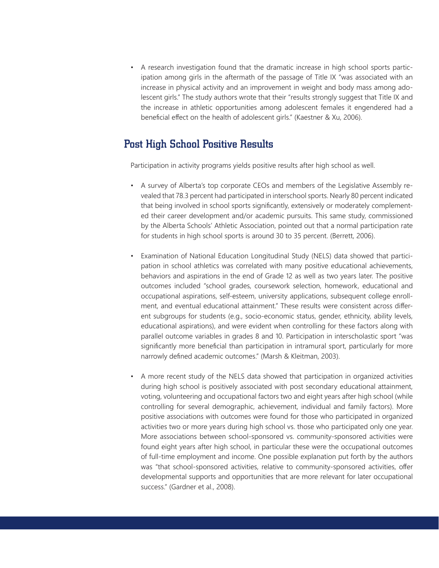• A research investigation found that the dramatic increase in high school sports participation among girls in the aftermath of the passage of Title IX "was associated with an increase in physical activity and an improvement in weight and body mass among adolescent girls." The study authors wrote that their "results strongly suggest that Title IX and the increase in athletic opportunities among adolescent females it engendered had a beneficial effect on the health of adolescent girls." (Kaestner & Xu, 2006).

# Post High School Positive Results

Participation in activity programs yields positive results after high school as well.

- A survey of Alberta's top corporate CEOs and members of the Legislative Assembly revealed that 78.3 percent had participated in interschool sports. Nearly 80 percent indicated that being involved in school sports significantly, extensively or moderately complemented their career development and/or academic pursuits. This same study, commissioned by the Alberta Schools' Athletic Association, pointed out that a normal participation rate for students in high school sports is around 30 to 35 percent. (Berrett, 2006).
- Examination of National Education Longitudinal Study (NELS) data showed that participation in school athletics was correlated with many positive educational achievements, behaviors and aspirations in the end of Grade 12 as well as two years later. The positive outcomes included "school grades, coursework selection, homework, educational and occupational aspirations, self-esteem, university applications, subsequent college enrollment, and eventual educational attainment." These results were consistent across different subgroups for students (e.g., socio-economic status, gender, ethnicity, ability levels, educational aspirations), and were evident when controlling for these factors along with parallel outcome variables in grades 8 and 10. Participation in interscholastic sport "was significantly more beneficial than participation in intramural sport, particularly for more narrowly defined academic outcomes." (Marsh & Kleitman, 2003).
- A more recent study of the NELS data showed that participation in organized activities during high school is positively associated with post secondary educational attainment, voting, volunteering and occupational factors two and eight years after high school (while controlling for several demographic, achievement, individual and family factors). More positive associations with outcomes were found for those who participated in organized activities two or more years during high school vs. those who participated only one year. More associations between school-sponsored vs. community-sponsored activities were found eight years after high school, in particular these were the occupational outcomes of full-time employment and income. One possible explanation put forth by the authors was "that school-sponsored activities, relative to community-sponsored activities, offer developmental supports and opportunities that are more relevant for later occupational success." (Gardner et al., 2008).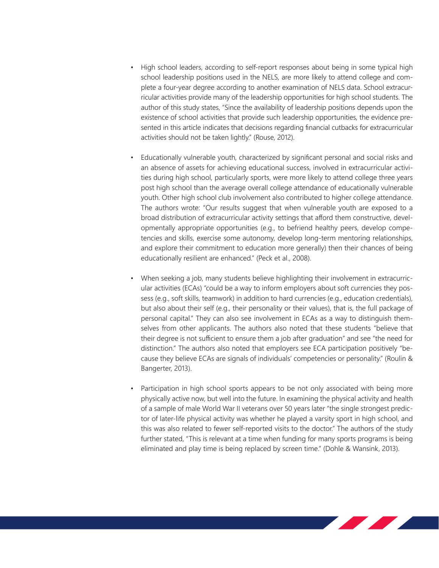- High school leaders, according to self-report responses about being in some typical high school leadership positions used in the NELS, are more likely to attend college and complete a four-year degree according to another examination of NELS data. School extracurricular activities provide many of the leadership opportunities for high school students. The author of this study states, "Since the availability of leadership positions depends upon the existence of school activities that provide such leadership opportunities, the evidence presented in this article indicates that decisions regarding financial cutbacks for extracurricular activities should not be taken lightly." (Rouse, 2012).
- Educationally vulnerable youth, characterized by significant personal and social risks and an absence of assets for achieving educational success, involved in extracurricular activities during high school, particularly sports, were more likely to attend college three years post high school than the average overall college attendance of educationally vulnerable youth. Other high school club involvement also contributed to higher college attendance. The authors wrote: "Our results suggest that when vulnerable youth are exposed to a broad distribution of extracurricular activity settings that afford them constructive, developmentally appropriate opportunities (e.g., to befriend healthy peers, develop competencies and skills, exercise some autonomy, develop long-term mentoring relationships, and explore their commitment to education more generally) then their chances of being educationally resilient are enhanced." (Peck et al., 2008).
- When seeking a job, many students believe highlighting their involvement in extracurricular activities (ECAs) "could be a way to inform employers about soft currencies they possess (e.g., soft skills, teamwork) in addition to hard currencies (e.g., education credentials), but also about their self (e.g., their personality or their values), that is, the full package of personal capital." They can also see involvement in ECAs as a way to distinguish themselves from other applicants. The authors also noted that these students "believe that their degree is not sufficient to ensure them a job after graduation" and see "the need for distinction." The authors also noted that employers see ECA participation positively "because they believe ECAs are signals of individuals' competencies or personality." (Roulin & Bangerter, 2013).
- Participation in high school sports appears to be not only associated with being more physically active now, but well into the future. In examining the physical activity and health of a sample of male World War II veterans over 50 years later "the single strongest predictor of later-life physical activity was whether he played a varsity sport in high school, and this was also related to fewer self-reported visits to the doctor." The authors of the study further stated, "This is relevant at a time when funding for many sports programs is being eliminated and play time is being replaced by screen time." (Dohle & Wansink, 2013).

<u> De la Barca</u>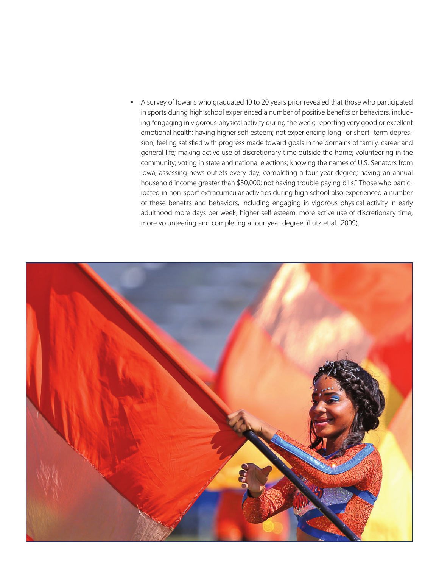• A survey of Iowans who graduated 10 to 20 years prior revealed that those who participated in sports during high school experienced a number of positive benefits or behaviors, including "engaging in vigorous physical activity during the week; reporting very good or excellent emotional health; having higher self-esteem; not experiencing long- or short- term depression; feeling satisfied with progress made toward goals in the domains of family, career and general life; making active use of discretionary time outside the home; volunteering in the community; voting in state and national elections; knowing the names of U.S. Senators from Iowa; assessing news outlets every day; completing a four year degree; having an annual household income greater than \$50,000; not having trouble paying bills." Those who participated in non-sport extracurricular activities during high school also experienced a number of these benefits and behaviors, including engaging in vigorous physical activity in early adulthood more days per week, higher self-esteem, more active use of discretionary time, more volunteering and completing a four-year degree. (Lutz et al., 2009).

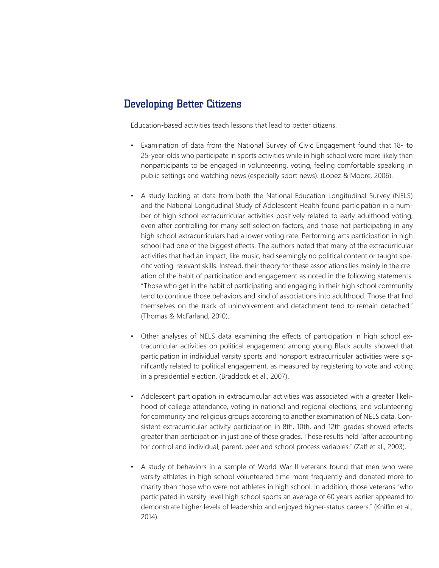# Developing Better Citizens

Education-based activities teach lessons that lead to better citizens.

- Examination of data from the National Survey of Civic Engagement found that 18- to 25-year-olds who participate in sports activities while in high school were more likely than nonparticipants to be engaged in volunteering, voting, feeling comfortable speaking in public settings and watching news (especially sport news). (Lopez & Moore, 2006).
- A study looking at data from both the National Education Longitudinal Survey (NELS) and the National Longitudinal Study of Adolescent Health found participation in a number of high school extracurricular activities positively related to early adulthood voting, even after controlling for many self-selection factors, and those not participating in any high school extracurriculars had a lower voting rate. Performing arts participation in high school had one of the biggest effects. The authors noted that many of the extracurricular activities that had an impact, like music, had seemingly no political content or taught specific voting-relevant skills. Instead, their theory for these associations lies mainly in the creation of the habit of participation and engagement as noted in the following statements. "Those who get in the habit of participating and engaging in their high school community tend to continue those behaviors and kind of associations into adulthood. Those that find themselves on the track of uninvolvement and detachment tend to remain detached." (Thomas & McFarland, 2010).
- Other analyses of NELS data examining the effects of participation in high school extracurricular activities on political engagement among young Black adults showed that participation in individual varsity sports and nonsport extracurricular activities were significantly related to political engagement, as measured by registering to vote and voting in a presidential election. (Braddock et al., 2007).
- Adolescent participation in extracurricular activities was associated with a greater likelihood of college attendance, voting in national and regional elections, and volunteering for community and religious groups according to another examination of NELS data. Consistent extracurricular activity participation in 8th, 10th, and 12th grades showed effects greater than participation in just one of these grades. These results held "after accounting for control and individual, parent, peer and school process variables." (Zaff et al., 2003).
- A study of behaviors in a sample of World War II veterans found that men who were varsity athletes in high school volunteered time more frequently and donated more to charity than those who were not athletes in high school. In addition, those veterans "who participated in varsity-level high school sports an average of 60 years earlier appeared to demonstrate higher levels of leadership and enjoyed higher-status careers." (Kniffin et al., 2014).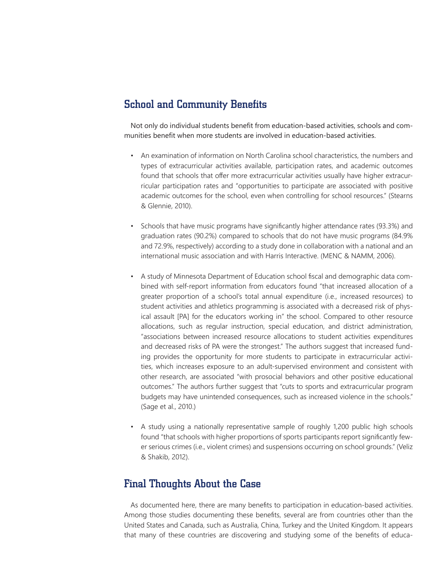# School and Community Benefits

Not only do individual students benefit from education-based activities, schools and communities benefit when more students are involved in education-based activities.

- An examination of information on North Carolina school characteristics, the numbers and types of extracurricular activities available, participation rates, and academic outcomes found that schools that offer more extracurricular activities usually have higher extracurricular participation rates and "opportunities to participate are associated with positive academic outcomes for the school, even when controlling for school resources." (Stearns & Glennie, 2010).
- Schools that have music programs have significantly higher attendance rates (93.3%) and graduation rates (90.2%) compared to schools that do not have music programs (84.9% and 72.9%, respectively) according to a study done in collaboration with a national and an international music association and with Harris Interactive. (MENC & NAMM, 2006).
- A study of Minnesota Department of Education school fiscal and demographic data combined with self-report information from educators found "that increased allocation of a greater proportion of a school's total annual expenditure (i.e., increased resources) to student activities and athletics programming is associated with a decreased risk of physical assault [PA] for the educators working in" the school. Compared to other resource allocations, such as regular instruction, special education, and district administration, "associations between increased resource allocations to student activities expenditures and decreased risks of PA were the strongest." The authors suggest that increased funding provides the opportunity for more students to participate in extracurricular activities, which increases exposure to an adult-supervised environment and consistent with other research, are associated "with prosocial behaviors and other positive educational outcomes." The authors further suggest that "cuts to sports and extracurricular program budgets may have unintended consequences, such as increased violence in the schools." (Sage et al., 2010.)
- A study using a nationally representative sample of roughly 1,200 public high schools found "that schools with higher proportions of sports participants report significantly fewer serious crimes (i.e., violent crimes) and suspensions occurring on school grounds." (Veliz & Shakib, 2012).

#### Final Thoughts About the Case

As documented here, there are many benefits to participation in education-based activities. Among those studies documenting these benefits, several are from countries other than the United States and Canada, such as Australia, China, Turkey and the United Kingdom. It appears that many of these countries are discovering and studying some of the benefits of educa-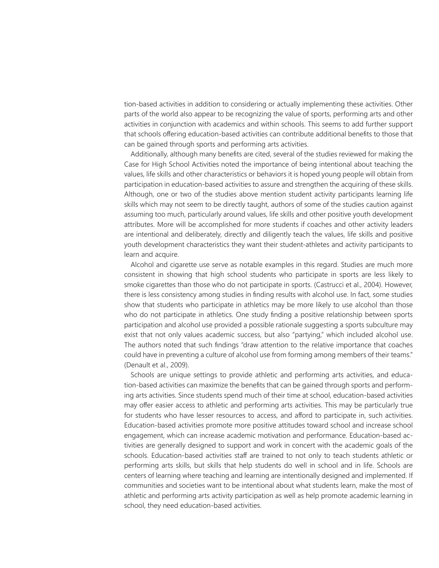tion-based activities in addition to considering or actually implementing these activities. Other parts of the world also appear to be recognizing the value of sports, performing arts and other activities in conjunction with academics and within schools. This seems to add further support that schools offering education-based activities can contribute additional benefits to those that can be gained through sports and performing arts activities.

Additionally, although many benefits are cited, several of the studies reviewed for making the Case for High School Activities noted the importance of being intentional about teaching the values, life skills and other characteristics or behaviors it is hoped young people will obtain from participation in education-based activities to assure and strengthen the acquiring of these skills. Although, one or two of the studies above mention student activity participants learning life skills which may not seem to be directly taught, authors of some of the studies caution against assuming too much, particularly around values, life skills and other positive youth development attributes. More will be accomplished for more students if coaches and other activity leaders are intentional and deliberately, directly and diligently teach the values, life skills and positive youth development characteristics they want their student-athletes and activity participants to learn and acquire.

Alcohol and cigarette use serve as notable examples in this regard. Studies are much more consistent in showing that high school students who participate in sports are less likely to smoke cigarettes than those who do not participate in sports. (Castrucci et al., 2004). However, there is less consistency among studies in finding results with alcohol use. In fact, some studies show that students who participate in athletics may be more likely to use alcohol than those who do not participate in athletics. One study finding a positive relationship between sports participation and alcohol use provided a possible rationale suggesting a sports subculture may exist that not only values academic success, but also "partying," which included alcohol use. The authors noted that such findings "draw attention to the relative importance that coaches could have in preventing a culture of alcohol use from forming among members of their teams." (Denault et al., 2009).

Schools are unique settings to provide athletic and performing arts activities, and education-based activities can maximize the benefits that can be gained through sports and performing arts activities. Since students spend much of their time at school, education-based activities may offer easier access to athletic and performing arts activities. This may be particularly true for students who have lesser resources to access, and afford to participate in, such activities. Education-based activities promote more positive attitudes toward school and increase school engagement, which can increase academic motivation and performance. Education-based activities are generally designed to support and work in concert with the academic goals of the schools. Education-based activities staff are trained to not only to teach students athletic or performing arts skills, but skills that help students do well in school and in life. Schools are centers of learning where teaching and learning are intentionally designed and implemented. If communities and societies want to be intentional about what students learn, make the most of athletic and performing arts activity participation as well as help promote academic learning in school, they need education-based activities.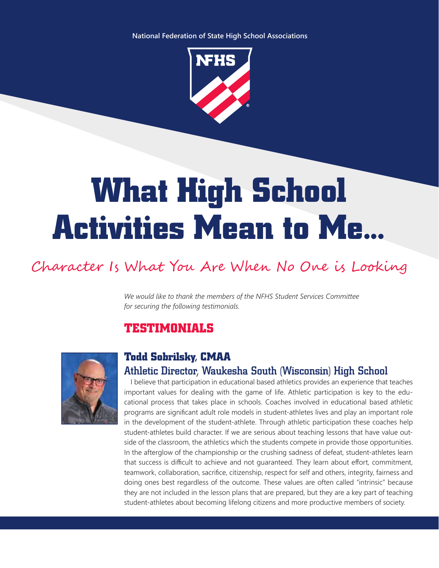**National Federation of State High School Associations**



# **What High School Activities Mean to Me...**

# Character Is What You Are When No One is Looking

*We would like to thank the members of the NFHS Student Services Committee for securing the following testimonials.*

# **TESTIMONIALS**



# **Todd Sobrilsky, CMAA** Athletic Director, Waukesha South (Wisconsin) High School

I believe that participation in educational based athletics provides an experience that teaches important values for dealing with the game of life. Athletic participation is key to the educational process that takes place in schools. Coaches involved in educational based athletic programs are significant adult role models in student-athletes lives and play an important role in the development of the student-athlete. Through athletic participation these coaches help student-athletes build character. If we are serious about teaching lessons that have value outside of the classroom, the athletics which the students compete in provide those opportunities. In the afterglow of the championship or the crushing sadness of defeat, student-athletes learn that success is difficult to achieve and not guaranteed. They learn about effort, commitment, teamwork, collaboration, sacrifice, citizenship, respect for self and others, integrity, fairness and doing ones best regardless of the outcome. These values are often called "intrinsic" because they are not included in the lesson plans that are prepared, but they are a key part of teaching student-athletes about becoming lifelong citizens and more productive members of society.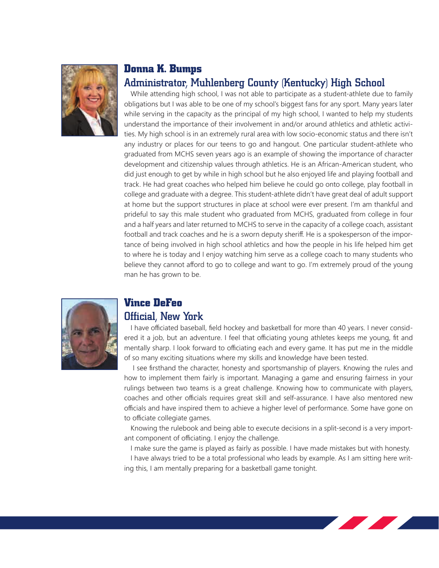

#### **Donna K. Bumps**

# Administrator, Muhlenberg County (Kentucky) High School

While attending high school, I was not able to participate as a student-athlete due to family obligations but I was able to be one of my school's biggest fans for any sport. Many years later while serving in the capacity as the principal of my high school, I wanted to help my students understand the importance of their involvement in and/or around athletics and athletic activities. My high school is in an extremely rural area with low socio-economic status and there isn't any industry or places for our teens to go and hangout. One particular student-athlete who graduated from MCHS seven years ago is an example of showing the importance of character development and citizenship values through athletics. He is an African-American student, who did just enough to get by while in high school but he also enjoyed life and playing football and track. He had great coaches who helped him believe he could go onto college, play football in college and graduate with a degree. This student-athlete didn't have great deal of adult support at home but the support structures in place at school were ever present. I'm am thankful and prideful to say this male student who graduated from MCHS, graduated from college in four and a half years and later returned to MCHS to serve in the capacity of a college coach, assistant football and track coaches and he is a sworn deputy sheriff. He is a spokesperson of the importance of being involved in high school athletics and how the people in his life helped him get to where he is today and I enjoy watching him serve as a college coach to many students who believe they cannot afford to go to college and want to go. I'm extremely proud of the young man he has grown to be.



# **Vince DeFeo**

#### Official, New York

I have officiated baseball, field hockey and basketball for more than 40 years. I never considered it a job, but an adventure. I feel that officiating young athletes keeps me young, fit and mentally sharp. I look forward to officiating each and every game. It has put me in the middle of so many exciting situations where my skills and knowledge have been tested.

 I see firsthand the character, honesty and sportsmanship of players. Knowing the rules and how to implement them fairly is important. Managing a game and ensuring fairness in your rulings between two teams is a great challenge. Knowing how to communicate with players, coaches and other officials requires great skill and self-assurance. I have also mentored new officials and have inspired them to achieve a higher level of performance. Some have gone on to officiate collegiate games.

Knowing the rulebook and being able to execute decisions in a split-second is a very important component of officiating. I enjoy the challenge.

I make sure the game is played as fairly as possible. I have made mistakes but with honesty.

I have always tried to be a total professional who leads by example. As I am sitting here writing this, I am mentally preparing for a basketball game tonight.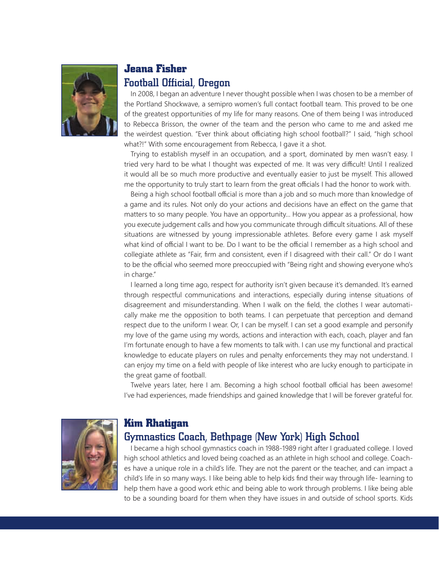

# **Jeana Fisher** Football Official, Oregon

In 2008, I began an adventure I never thought possible when I was chosen to be a member of the Portland Shockwave, a semipro women's full contact football team. This proved to be one of the greatest opportunities of my life for many reasons. One of them being I was introduced to Rebecca Brisson, the owner of the team and the person who came to me and asked me the weirdest question. "Ever think about officiating high school football?" I said, "high school what?!" With some encouragement from Rebecca, I gave it a shot.

Trying to establish myself in an occupation, and a sport, dominated by men wasn't easy. I tried very hard to be what I thought was expected of me. It was very difficult! Until I realized it would all be so much more productive and eventually easier to just be myself. This allowed me the opportunity to truly start to learn from the great officials I had the honor to work with.

Being a high school football official is more than a job and so much more than knowledge of a game and its rules. Not only do your actions and decisions have an effect on the game that matters to so many people. You have an opportunity... How you appear as a professional, how you execute judgement calls and how you communicate through difficult situations. All of these situations are witnessed by young impressionable athletes. Before every game I ask myself what kind of official I want to be. Do I want to be the official I remember as a high school and collegiate athlete as "Fair, firm and consistent, even if I disagreed with their call." Or do I want to be the official who seemed more preoccupied with "Being right and showing everyone who's in charge."

I learned a long time ago, respect for authority isn't given because it's demanded. It's earned through respectful communications and interactions, especially during intense situations of disagreement and misunderstanding. When I walk on the field, the clothes I wear automatically make me the opposition to both teams. I can perpetuate that perception and demand respect due to the uniform I wear. Or, I can be myself. I can set a good example and personify my love of the game using my words, actions and interaction with each, coach, player and fan I'm fortunate enough to have a few moments to talk with. I can use my functional and practical knowledge to educate players on rules and penalty enforcements they may not understand. I can enjoy my time on a field with people of like interest who are lucky enough to participate in the great game of football.

Twelve years later, here I am. Becoming a high school football official has been awesome! I've had experiences, made friendships and gained knowledge that I will be forever grateful for.



# **Kim Rhatigan**

# Gymnastics Coach, Bethpage (New York) High School

I became a high school gymnastics coach in 1988-1989 right after I graduated college. I loved high school athletics and loved being coached as an athlete in high school and college. Coaches have a unique role in a child's life. They are not the parent or the teacher, and can impact a child's life in so many ways. I like being able to help kids find their way through life- learning to help them have a good work ethic and being able to work through problems. I like being able to be a sounding board for them when they have issues in and outside of school sports. Kids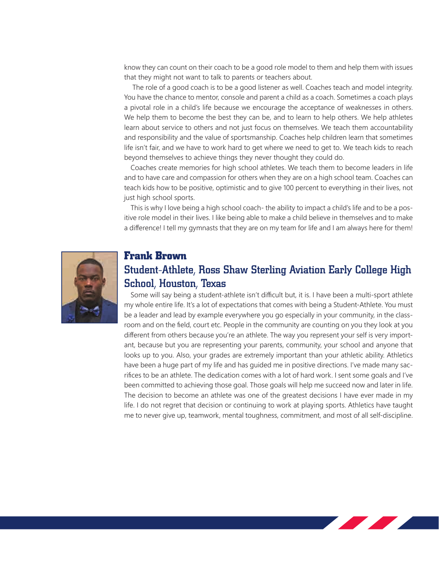know they can count on their coach to be a good role model to them and help them with issues that they might not want to talk to parents or teachers about.

 The role of a good coach is to be a good listener as well. Coaches teach and model integrity. You have the chance to mentor, console and parent a child as a coach. Sometimes a coach plays a pivotal role in a child's life because we encourage the acceptance of weaknesses in others. We help them to become the best they can be, and to learn to help others. We help athletes learn about service to others and not just focus on themselves. We teach them accountability and responsibility and the value of sportsmanship. Coaches help children learn that sometimes life isn't fair, and we have to work hard to get where we need to get to. We teach kids to reach beyond themselves to achieve things they never thought they could do.

Coaches create memories for high school athletes. We teach them to become leaders in life and to have care and compassion for others when they are on a high school team. Coaches can teach kids how to be positive, optimistic and to give 100 percent to everything in their lives, not just high school sports.

This is why I love being a high school coach- the ability to impact a child's life and to be a positive role model in their lives. I like being able to make a child believe in themselves and to make a difference! I tell my gymnasts that they are on my team for life and I am always here for them!



#### **Frank Brown**

# Student-Athlete, Ross Shaw Sterling Aviation Early College High School, Houston, Texas

Some will say being a student-athlete isn't difficult but, it is. I have been a multi-sport athlete my whole entire life. It's a lot of expectations that comes with being a Student-Athlete. You must be a leader and lead by example everywhere you go especially in your community, in the classroom and on the field, court etc. People in the community are counting on you they look at you different from others because you're an athlete. The way you represent your self is very important, because but you are representing your parents, community, your school and anyone that looks up to you. Also, your grades are extremely important than your athletic ability. Athletics have been a huge part of my life and has guided me in positive directions. I've made many sacrifices to be an athlete. The dedication comes with a lot of hard work. I sent some goals and I've been committed to achieving those goal. Those goals will help me succeed now and later in life. The decision to become an athlete was one of the greatest decisions I have ever made in my life. I do not regret that decision or continuing to work at playing sports. Athletics have taught me to never give up, teamwork, mental toughness, commitment, and most of all self-discipline.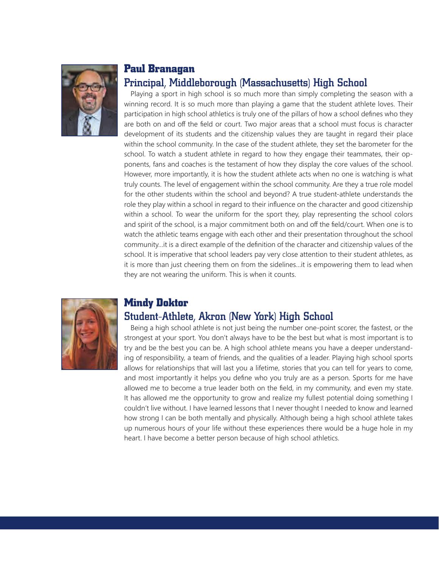

# **Paul Branagan** Principal, Middleborough (Massachusetts) High School

Playing a sport in high school is so much more than simply completing the season with a winning record. It is so much more than playing a game that the student athlete loves. Their participation in high school athletics is truly one of the pillars of how a school defines who they are both on and off the field or court. Two major areas that a school must focus is character development of its students and the citizenship values they are taught in regard their place within the school community. In the case of the student athlete, they set the barometer for the school. To watch a student athlete in regard to how they engage their teammates, their opponents, fans and coaches is the testament of how they display the core values of the school. However, more importantly, it is how the student athlete acts when no one is watching is what truly counts. The level of engagement within the school community. Are they a true role model for the other students within the school and beyond? A true student-athlete understands the role they play within a school in regard to their influence on the character and good citizenship within a school. To wear the uniform for the sport they, play representing the school colors and spirit of the school, is a major commitment both on and off the field/court. When one is to watch the athletic teams engage with each other and their presentation throughout the school community…it is a direct example of the definition of the character and citizenship values of the school. It is imperative that school leaders pay very close attention to their student athletes, as it is more than just cheering them on from the sidelines…it is empowering them to lead when they are not wearing the uniform. This is when it counts.



# **Mindy Doktor**

# Student-Athlete, Akron (New York) High School

Being a high school athlete is not just being the number one-point scorer, the fastest, or the strongest at your sport. You don't always have to be the best but what is most important is to try and be the best you can be. A high school athlete means you have a deeper understanding of responsibility, a team of friends, and the qualities of a leader. Playing high school sports allows for relationships that will last you a lifetime, stories that you can tell for years to come, and most importantly it helps you define who you truly are as a person. Sports for me have allowed me to become a true leader both on the field, in my community, and even my state. It has allowed me the opportunity to grow and realize my fullest potential doing something I couldn't live without. I have learned lessons that I never thought I needed to know and learned how strong I can be both mentally and physically. Although being a high school athlete takes up numerous hours of your life without these experiences there would be a huge hole in my heart. I have become a better person because of high school athletics.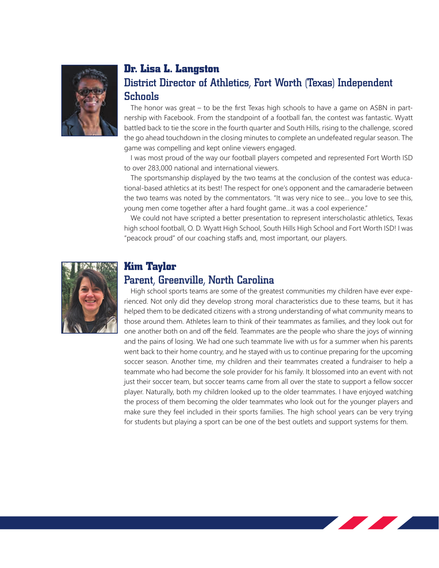

# **Dr. Lisa L. Langston** District Director of Athletics, Fort Worth (Texas) Independent Schools

The honor was great – to be the first Texas high schools to have a game on ASBN in partnership with Facebook. From the standpoint of a football fan, the contest was fantastic. Wyatt battled back to tie the score in the fourth quarter and South Hills, rising to the challenge, scored the go ahead touchdown in the closing minutes to complete an undefeated regular season. The game was compelling and kept online viewers engaged.

I was most proud of the way our football players competed and represented Fort Worth ISD to over 283,000 national and international viewers.

The sportsmanship displayed by the two teams at the conclusion of the contest was educational-based athletics at its best! The respect for one's opponent and the camaraderie between the two teams was noted by the commentators. "It was very nice to see… you love to see this, young men come together after a hard fought game…it was a cool experience."

We could not have scripted a better presentation to represent interscholastic athletics, Texas high school football, O. D. Wyatt High School, South Hills High School and Fort Worth ISD! I was "peacock proud" of our coaching staffs and, most important, our players.



#### **Kim Taylor**

#### Parent, Greenville, North Carolina

High school sports teams are some of the greatest communities my children have ever experienced. Not only did they develop strong moral characteristics due to these teams, but it has helped them to be dedicated citizens with a strong understanding of what community means to those around them. Athletes learn to think of their teammates as families, and they look out for one another both on and off the field. Teammates are the people who share the joys of winning and the pains of losing. We had one such teammate live with us for a summer when his parents went back to their home country, and he stayed with us to continue preparing for the upcoming soccer season. Another time, my children and their teammates created a fundraiser to help a teammate who had become the sole provider for his family. It blossomed into an event with not just their soccer team, but soccer teams came from all over the state to support a fellow soccer player. Naturally, both my children looked up to the older teammates. I have enjoyed watching the process of them becoming the older teammates who look out for the younger players and make sure they feel included in their sports families. The high school years can be very trying for students but playing a sport can be one of the best outlets and support systems for them.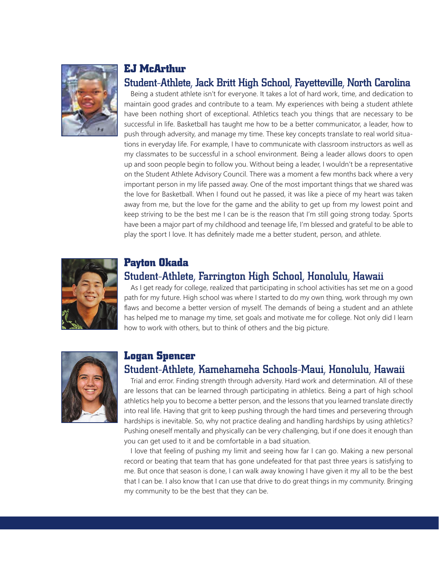

#### **EJ McArthur**

#### Student-Athlete, Jack Britt High School, Fayetteville, North Carolina

Being a student athlete isn't for everyone. It takes a lot of hard work, time, and dedication to maintain good grades and contribute to a team. My experiences with being a student athlete have been nothing short of exceptional. Athletics teach you things that are necessary to be successful in life. Basketball has taught me how to be a better communicator, a leader, how to push through adversity, and manage my time. These key concepts translate to real world situations in everyday life. For example, I have to communicate with classroom instructors as well as my classmates to be successful in a school environment. Being a leader allows doors to open up and soon people begin to follow you. Without being a leader, I wouldn't be a representative on the Student Athlete Advisory Council. There was a moment a few months back where a very important person in my life passed away. One of the most important things that we shared was the love for Basketball. When I found out he passed, it was like a piece of my heart was taken away from me, but the love for the game and the ability to get up from my lowest point and keep striving to be the best me I can be is the reason that I'm still going strong today. Sports have been a major part of my childhood and teenage life, I'm blessed and grateful to be able to play the sport I love. It has definitely made me a better student, person, and athlete.



# **Payton Okada**

# Student-Athlete, Farrington High School, Honolulu, Hawaii

As I get ready for college, realized that participating in school activities has set me on a good path for my future. High school was where I started to do my own thing, work through my own flaws and become a better version of myself. The demands of being a student and an athlete has helped me to manage my time, set goals and motivate me for college. Not only did I learn how to work with others, but to think of others and the big picture.



#### **Logan Spencer**

#### Student-Athlete, Kamehameha Schools-Maui, Honolulu, Hawaii

Trial and error. Finding strength through adversity. Hard work and determination. All of these are lessons that can be learned through participating in athletics. Being a part of high school athletics help you to become a better person, and the lessons that you learned translate directly into real life. Having that grit to keep pushing through the hard times and persevering through hardships is inevitable. So, why not practice dealing and handling hardships by using athletics? Pushing oneself mentally and physically can be very challenging, but if one does it enough than you can get used to it and be comfortable in a bad situation.

I love that feeling of pushing my limit and seeing how far I can go. Making a new personal record or beating that team that has gone undefeated for that past three years is satisfying to me. But once that season is done, I can walk away knowing I have given it my all to be the best that I can be. I also know that I can use that drive to do great things in my community. Bringing my community to be the best that they can be.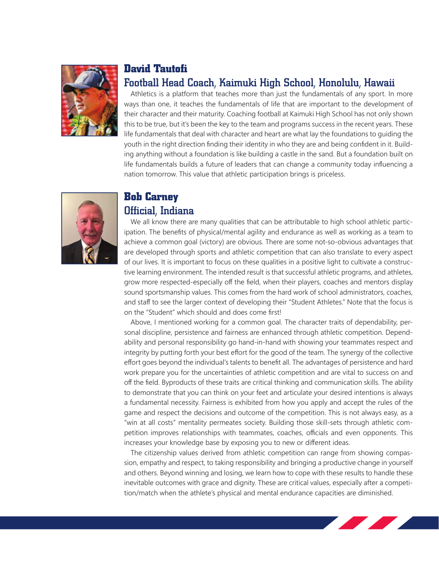

#### **David Tautofi**

#### Football Head Coach, Kaimuki High School, Honolulu, Hawaii

Athletics is a platform that teaches more than just the fundamentals of any sport. In more ways than one, it teaches the fundamentals of life that are important to the development of their character and their maturity. Coaching football at Kaimuki High School has not only shown this to be true, but it's been the key to the team and programs success in the recent years. These life fundamentals that deal with character and heart are what lay the foundations to guiding the youth in the right direction finding their identity in who they are and being confident in it. Building anything without a foundation is like building a castle in the sand. But a foundation built on life fundamentals builds a future of leaders that can change a community today influencing a nation tomorrow. This value that athletic participation brings is priceless.



# **Bob Carney** Official, Indiana

We all know there are many qualities that can be attributable to high school athletic participation. The benefits of physical/mental agility and endurance as well as working as a team to achieve a common goal (victory) are obvious. There are some not-so-obvious advantages that are developed through sports and athletic competition that can also translate to every aspect of our lives. It is important to focus on these qualities in a positive light to cultivate a constructive learning environment. The intended result is that successful athletic programs, and athletes, grow more respected-especially off the field, when their players, coaches and mentors display sound sportsmanship values. This comes from the hard work of school administrators, coaches, and staff to see the larger context of developing their "Student Athletes." Note that the focus is on the "Student" which should and does come first!

Above, I mentioned working for a common goal. The character traits of dependability, personal discipline, persistence and fairness are enhanced through athletic competition. Dependability and personal responsibility go hand-in-hand with showing your teammates respect and integrity by putting forth your best effort for the good of the team. The synergy of the collective effort goes beyond the individual's talents to benefit all. The advantages of persistence and hard work prepare you for the uncertainties of athletic competition and are vital to success on and off the field. Byproducts of these traits are critical thinking and communication skills. The ability to demonstrate that you can think on your feet and articulate your desired intentions is always a fundamental necessity. Fairness is exhibited from how you apply and accept the rules of the game and respect the decisions and outcome of the competition. This is not always easy, as a "win at all costs" mentality permeates society. Building those skill-sets through athletic competition improves relationships with teammates, coaches, officials and even opponents. This increases your knowledge base by exposing you to new or different ideas.

The citizenship values derived from athletic competition can range from showing compassion, empathy and respect, to taking responsibility and bringing a productive change in yourself and others. Beyond winning and losing, we learn how to cope with these results to handle these inevitable outcomes with grace and dignity. These are critical values, especially after a competition/match when the athlete's physical and mental endurance capacities are diminished.

<u>a shekara ta 1980 kundi a shekara ta 1980 kundi a shekara ta 1980 kundi a shekara ta 1980 kundi a shekara ta 1980 kundi a shekara ta 1980 kundi a shekara ta 1980 kundi a shekara ta 1980 kundi a shekara ta 1980 kundi a she</u>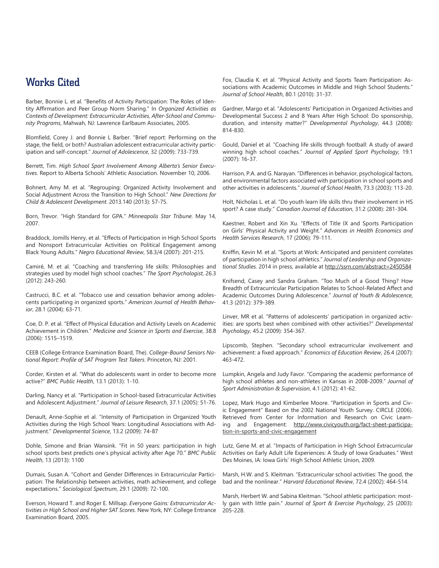#### Works Cited

Barber, Bonnie L. et al. "Benefits of Activity Participation: The Roles of Identity Affirmation and Peer Group Norm Sharing." In *Organized Activities as Contexts of Development: Extracurricular Activities, After-School and Community Programs*, Mahwah, NJ: Lawrence Earlbaum Associates, 2005.

Blomfield, Corey J. and Bonnie L Barber. "Brief report: Performing on the stage, the field, or both? Australian adolescent extracurricular activity participation and self-concept." *Journal of Adolescence*, 32 (2009): 733-739.

Berrett, Tim. *High School Sport Involvement Among Alberta's Senior Executives*. Report to Alberta Schools' Athletic Association. November 10, 2006.

Bohnert, Amy M. et al. "Regrouping: Organized Activity Involvement and Social Adjustment Across the Transition to High School." *New Directions for Child & Adolescent Development*. 2013.140 (2013): 57-75.

Born, Trevor. "High Standard for GPA." *Minneapolis Star Tribune*. May 14, 2007.

Braddock, Jomills Henry, et al. "Effects of Participation in High School Sports and Nonsport Extracurricular Activities on Political Engagement among Black Young Adults." *Negro Educational Review*, 58.3/4 (2007): 201-215.

Camiré, M. et al. "Coaching and transferring life skills: Philosophies and strategies used by model high school coaches." *The Sport Psychologist*, 26.3 (2012): 243-260.

Castrucci, B.C. et al. "Tobacco use and cessation behavior among adolescents participating in organized sports." *American Journal of Health Behavior*, 28.1 (2004): 63-71.

Coe, D. P. et al. "Effect of Physical Education and Activity Levels on Academic Achievement in Children." *Medicine and Science in Sports and Exercise*, 38.8 (2006): 1515–1519.

CEEB (College Entrance Examination Board, The). *College-Bound Seniors National Report: Profile of SAT Program Test Takers*. Princeton, NJ: 2001.

Corder, Kirsten et al. "What do adolescents want in order to become more active?" *BMC Public Health*, 13.1 (2013): 1-10.

Darling, Nancy et al. "Participation in School-based Extracurricular Activities and Adolescent Adjustment." *Journal of Leisure Research*, 37.1 (2005): 51-76.

Denault, Anne-Sophie et al. "Intensity of Participation in Organized Youth Activities during the High School Years: Longitudinal Associations with Adjustment." *Developmental Science*, 13.2 (2009): 74-87

Dohle, Simone and Brian Wansink. "Fit in 50 years: participation in high school sports best predicts one's physical activity after Age 70." *BMC Public Health*, 13 (2013): 1100

Dumais, Susan A. "Cohort and Gender Differences in Extracurricular Participation: The Relationship between activities, math achievement, and college expectations." *Sociological Spectrum*, 29.1 (2009): 72-100.

Everson, Howard T. and Roger E. Millsap. *Everyone Gains: Extracurricular Activities in High School and Higher SAT Scores*. New York, NY: College Entrance Examination Board, 2005.

Fox, Claudia K. et al. "Physical Activity and Sports Team Participation: Associations with Academic Outcomes in Middle and High School Students." *Journal of School Health*, 80.1 (2010): 31-37.

Gardner, Margo et al. "Adolescents' Participation in Organized Activities and Developmental Success 2 and 8 Years After High School: Do sponsorship, duration, and intensity matter?" *Developmental Psychology*, 44.3 (2008): 814-830.

Gould, Daniel et al. "Coaching life skills through football: A study of award winning high school coaches." *Journal of Applied Sport Psychology*, 19.1 (2007): 16-37.

Harrison, P.A. and G. Narayan. "Differences in behavior, psychological factors, and environmental factors associated with participation in school sports and other activities in adolescents." *Journal of School Health*, 73.3 (2003): 113-20.

Holt, Nicholas L. et al. "Do youth learn life skills thru their involvement in HS sport? A case study." *Canadian Journal of Education*, 31.2 (2008): 281-304.

Kaestner, Robert and Xin Xu. "Effects of Title IX and Sports Participation on Girls' Physical Activity and Weight." *Advances in Health Economics and Health Services Research*, 17 (2006): 79-111.

Kniffin, Kevin M. et al. "Sports at Work: Anticipated and persistent correlates of participation in high school athletics." *Journal of Leadership and Organizational Studies.* 2014 in press, available at http://ssrn.com/abstract=2450584

Knifsend, Casey and Sandra Graham. "Too Much of a Good Thing? How Breadth of Extracurricular Participation Relates to School-Related Affect and Academic Outcomes During Adolescence." *Journal of Youth & Adolescence*, 41.3 (2012): 379-389.

Linver, MR et al. "Patterns of adolescents' participation in organized activities: are sports best when combined with other activities?" *Developmental Psychology*, 45.2 (2009): 354-367.

Lipscomb, Stephen. "Secondary school extracurricular involvement and achievement: a fixed approach." *Economics of Education Review*, 26.4 (2007): 463-472.

Lumpkin, Angela and Judy Favor. "Comparing the academic performance of high school athletes and non-athletes in Kansas in 2008-2009." *Journal of Sport Administration & Supervision*, 4.1 (2012): 41-62.

Lopez, Mark Hugo and Kimberlee Moore. "Participation in Sports and Civic Engagement" Based on the 2002 National Youth Survey. CIRCLE (2006). Retrieved from Center for Information and Research on Civic Learning and Engagement: http://www.civicyouth.org/fact-sheet-participation-in-sports-and-civic-engagement

Lutz, Gene M. et al. "Impacts of Participation in High School Extracurricular Activities on Early Adult Life Experiences: A Study of Iowa Graduates." West Des Moines, IA: Iowa Girls' High School Athletic Union, 2009.

Marsh, H.W. and S. Kleitman. "Extracurricular school activities: The good, the bad and the nonlinear." *Harvard Educational Review*, 72.4 (2002): 464-514.

Marsh, Herbert W. and Sabina Kleitman. "School athletic participation: mostly gain with little pain." *Journal of Sport & Exercise Psychology*, 25 (2003): 205-228.